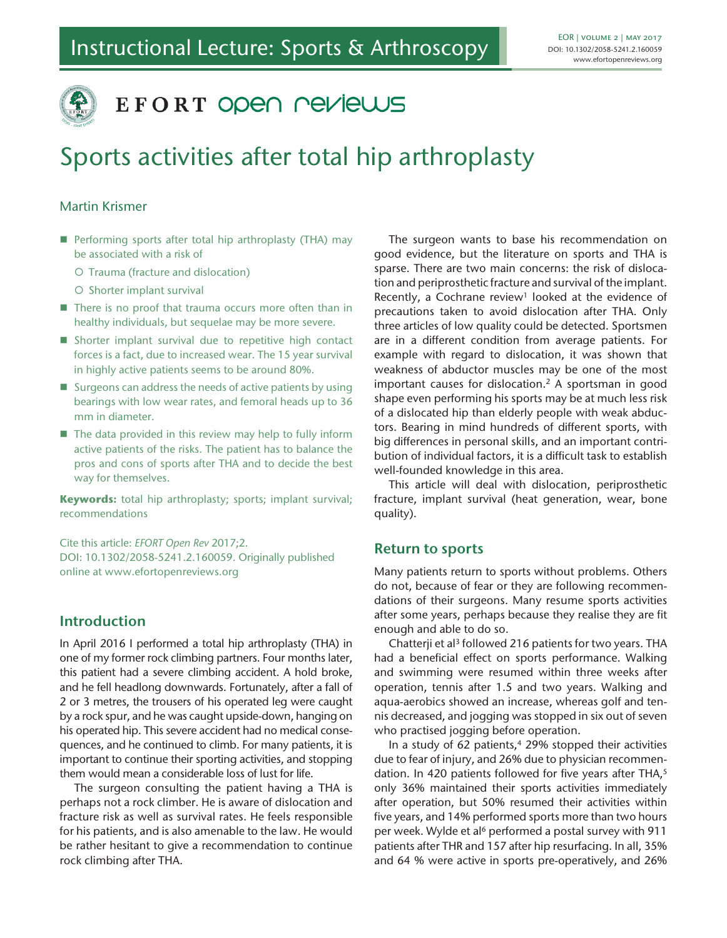

# EFORT OPEN NEVIEWS

# Sports activities after total hip arthroplasty

## Martin Krismer

- Performing sports after total hip arthroplasty (THA) may be associated with a risk of
	- O Trauma (fracture and dislocation)
	- O Shorter implant survival
- There is no proof that trauma occurs more often than in healthy individuals, but sequelae may be more severe.
- Shorter implant survival due to repetitive high contact forces is a fact, due to increased wear. The 15 year survival in highly active patients seems to be around 80%.
- $\blacksquare$  Surgeons can address the needs of active patients by using bearings with low wear rates, and femoral heads up to 36 mm in diameter.
- The data provided in this review may help to fully inform active patients of the risks. The patient has to balance the pros and cons of sports after THA and to decide the best way for themselves.

**Keywords:** total hip arthroplasty; sports; implant survival; recommendations

Cite this article: *EFORT Open Rev* 2017;2. DOI: 10.1302/2058-5241.2.160059. Originally published online at www.efortopenreviews.org

# **Introduction**

In April 2016 I performed a total hip arthroplasty (THA) in one of my former rock climbing partners. Four months later, this patient had a severe climbing accident. A hold broke, and he fell headlong downwards. Fortunately, after a fall of 2 or 3 metres, the trousers of his operated leg were caught by a rock spur, and he was caught upside-down, hanging on his operated hip. This severe accident had no medical consequences, and he continued to climb. For many patients, it is important to continue their sporting activities, and stopping them would mean a considerable loss of lust for life.

The surgeon consulting the patient having a THA is perhaps not a rock climber. He is aware of dislocation and fracture risk as well as survival rates. He feels responsible for his patients, and is also amenable to the law. He would be rather hesitant to give a recommendation to continue rock climbing after THA.

The surgeon wants to base his recommendation on good evidence, but the literature on sports and THA is sparse. There are two main concerns: the risk of dislocation and periprosthetic fracture and survival of the implant. Recently, a Cochrane review<sup>1</sup> looked at the evidence of precautions taken to avoid dislocation after THA. Only three articles of low quality could be detected. Sportsmen are in a different condition from average patients. For example with regard to dislocation, it was shown that weakness of abductor muscles may be one of the most important causes for dislocation.2 A sportsman in good shape even performing his sports may be at much less risk of a dislocated hip than elderly people with weak abductors. Bearing in mind hundreds of different sports, with big differences in personal skills, and an important contribution of individual factors, it is a difficult task to establish well-founded knowledge in this area.

This article will deal with dislocation, periprosthetic fracture, implant survival (heat generation, wear, bone quality).

## **Return to sports**

Many patients return to sports without problems. Others do not, because of fear or they are following recommendations of their surgeons. Many resume sports activities after some years, perhaps because they realise they are fit enough and able to do so.

Chatterji et al<sup>3</sup> followed 216 patients for two years. THA had a beneficial effect on sports performance. Walking and swimming were resumed within three weeks after operation, tennis after 1.5 and two years. Walking and aqua-aerobics showed an increase, whereas golf and tennis decreased, and jogging was stopped in six out of seven who practised jogging before operation.

In a study of 62 patients, $4$  29% stopped their activities due to fear of injury, and 26% due to physician recommendation. In 420 patients followed for five years after THA,<sup>5</sup> only 36% maintained their sports activities immediately after operation, but 50% resumed their activities within five years, and 14% performed sports more than two hours per week. Wylde et al<sup>6</sup> performed a postal survey with 911 patients after THR and 157 after hip resurfacing. In all, 35% and 64 % were active in sports pre-operatively, and 26%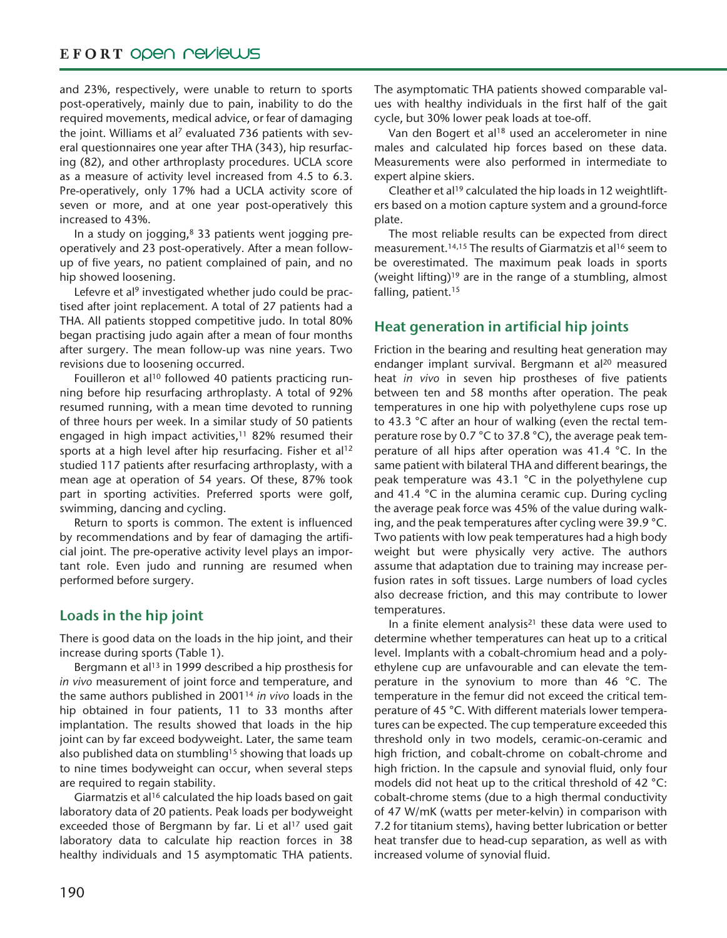# EFORT OPEN PEVIEWS

and 23%, respectively, were unable to return to sports post-operatively, mainly due to pain, inability to do the required movements, medical advice, or fear of damaging the joint. Williams et al<sup>7</sup> evaluated 736 patients with several questionnaires one year after THA (343), hip resurfacing (82), and other arthroplasty procedures. UCLA score as a measure of activity level increased from 4.5 to 6.3. Pre-operatively, only 17% had a UCLA activity score of seven or more, and at one year post-operatively this increased to 43%.

In a study on jogging, $8$  33 patients went jogging preoperatively and 23 post-operatively. After a mean followup of five years, no patient complained of pain, and no hip showed loosening.

Lefevre et al<sup>9</sup> investigated whether judo could be practised after joint replacement. A total of 27 patients had a THA. All patients stopped competitive judo. In total 80% began practising judo again after a mean of four months after surgery. The mean follow-up was nine years. Two revisions due to loosening occurred.

Fouilleron et al<sup>10</sup> followed 40 patients practicing running before hip resurfacing arthroplasty. A total of 92% resumed running, with a mean time devoted to running of three hours per week. In a similar study of 50 patients engaged in high impact activities, $11$  82% resumed their sports at a high level after hip resurfacing. Fisher et al<sup>12</sup> studied 117 patients after resurfacing arthroplasty, with a mean age at operation of 54 years. Of these, 87% took part in sporting activities. Preferred sports were golf, swimming, dancing and cycling.

Return to sports is common. The extent is influenced by recommendations and by fear of damaging the artificial joint. The pre-operative activity level plays an important role. Even judo and running are resumed when performed before surgery.

# **Loads in the hip joint**

There is good data on the loads in the hip joint, and their increase during sports (Table 1).

Bergmann et al<sup>13</sup> in 1999 described a hip prosthesis for *in vivo* measurement of joint force and temperature, and the same authors published in 200114 *in vivo* loads in the hip obtained in four patients, 11 to 33 months after implantation. The results showed that loads in the hip joint can by far exceed bodyweight. Later, the same team also published data on stumbling<sup>15</sup> showing that loads up to nine times bodyweight can occur, when several steps are required to regain stability.

Giarmatzis et al16 calculated the hip loads based on gait laboratory data of 20 patients. Peak loads per bodyweight exceeded those of Bergmann by far. Li et al<sup>17</sup> used gait laboratory data to calculate hip reaction forces in 38 healthy individuals and 15 asymptomatic THA patients. The asymptomatic THA patients showed comparable values with healthy individuals in the first half of the gait cycle, but 30% lower peak loads at toe-off.

Van den Bogert et al<sup>18</sup> used an accelerometer in nine males and calculated hip forces based on these data. Measurements were also performed in intermediate to expert alpine skiers.

Cleather et al<sup>19</sup> calculated the hip loads in 12 weightlifters based on a motion capture system and a ground-force plate.

The most reliable results can be expected from direct measurement.<sup>14,15</sup> The results of Giarmatzis et al<sup>16</sup> seem to be overestimated. The maximum peak loads in sports (weight lifting)<sup>19</sup> are in the range of a stumbling, almost falling, patient.<sup>15</sup>

# **Heat generation in artificial hip joints**

Friction in the bearing and resulting heat generation may endanger implant survival. Bergmann et al<sup>20</sup> measured heat *in vivo* in seven hip prostheses of five patients between ten and 58 months after operation. The peak temperatures in one hip with polyethylene cups rose up to 43.3 °C after an hour of walking (even the rectal temperature rose by 0.7 °C to 37.8 °C), the average peak temperature of all hips after operation was 41.4 °C. In the same patient with bilateral THA and different bearings, the peak temperature was 43.1 °C in the polyethylene cup and 41.4 °C in the alumina ceramic cup. During cycling the average peak force was 45% of the value during walking, and the peak temperatures after cycling were 39.9 °C. Two patients with low peak temperatures had a high body weight but were physically very active. The authors assume that adaptation due to training may increase perfusion rates in soft tissues. Large numbers of load cycles also decrease friction, and this may contribute to lower temperatures.

In a finite element analysis $21$  these data were used to determine whether temperatures can heat up to a critical level. Implants with a cobalt-chromium head and a polyethylene cup are unfavourable and can elevate the temperature in the synovium to more than 46 °C. The temperature in the femur did not exceed the critical temperature of 45 °C. With different materials lower temperatures can be expected. The cup temperature exceeded this threshold only in two models, ceramic-on-ceramic and high friction, and cobalt-chrome on cobalt-chrome and high friction. In the capsule and synovial fluid, only four models did not heat up to the critical threshold of 42 °C: cobalt-chrome stems (due to a high thermal conductivity of 47 W/mK (watts per meter-kelvin) in comparison with 7.2 for titanium stems), having better lubrication or better heat transfer due to head-cup separation, as well as with increased volume of synovial fluid.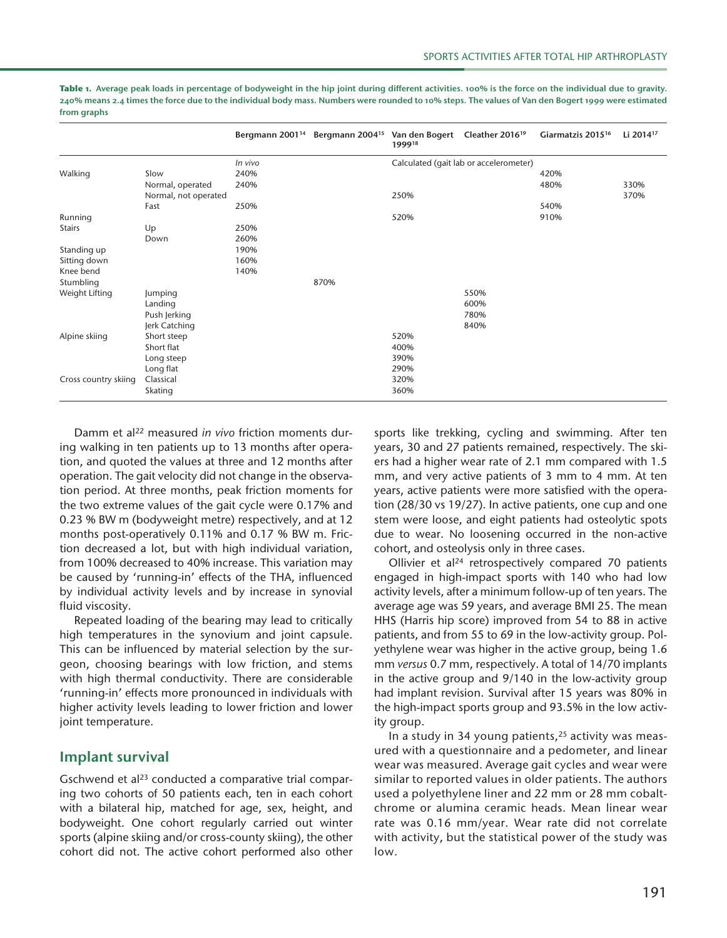|                      |                      |         | Bergmann 2001 <sup>14</sup> Bergmann 2004 <sup>15</sup> Van den Bogert | 199918 | Cleather 2016 <sup>19</sup>            | Giarmatzis 2015 <sup>16</sup> | Li 2014 <sup>17</sup> |
|----------------------|----------------------|---------|------------------------------------------------------------------------|--------|----------------------------------------|-------------------------------|-----------------------|
|                      |                      | In vivo |                                                                        |        | Calculated (gait lab or accelerometer) |                               |                       |
| Walking              | Slow                 | 240%    |                                                                        |        |                                        | 420%                          |                       |
|                      | Normal, operated     | 240%    |                                                                        |        |                                        | 480%                          | 330%                  |
|                      | Normal, not operated |         |                                                                        | 250%   |                                        |                               | 370%                  |
|                      | Fast                 | 250%    |                                                                        |        |                                        | 540%                          |                       |
| Running              |                      |         |                                                                        | 520%   |                                        | 910%                          |                       |
| <b>Stairs</b>        | Up                   | 250%    |                                                                        |        |                                        |                               |                       |
|                      | Down                 | 260%    |                                                                        |        |                                        |                               |                       |
| Standing up          |                      | 190%    |                                                                        |        |                                        |                               |                       |
| Sitting down         |                      | 160%    |                                                                        |        |                                        |                               |                       |
| Knee bend            |                      | 140%    |                                                                        |        |                                        |                               |                       |
| Stumbling            |                      |         | 870%                                                                   |        |                                        |                               |                       |
| Weight Lifting       | Jumping              |         |                                                                        |        | 550%                                   |                               |                       |
|                      | Landing              |         |                                                                        |        | 600%                                   |                               |                       |
|                      | Push Jerking         |         |                                                                        |        | 780%                                   |                               |                       |
|                      | Jerk Catching        |         |                                                                        |        | 840%                                   |                               |                       |
| Alpine skiing        | Short steep          |         |                                                                        | 520%   |                                        |                               |                       |
|                      | Short flat           |         |                                                                        | 400%   |                                        |                               |                       |
|                      | Long steep           |         |                                                                        | 390%   |                                        |                               |                       |
| Cross country skiing | Long flat            |         |                                                                        | 290%   |                                        |                               |                       |
|                      | Classical            |         |                                                                        | 320%   |                                        |                               |                       |
|                      | Skating              |         |                                                                        | 360%   |                                        |                               |                       |

Table 1. Average peak loads in percentage of bodyweight in the hip joint during different activities. 100% is the force on the individual due to gravity. **240% means 2.4 times the force due to the individual body mass. Numbers were rounded to 10% steps. The values of Van den Bogert 1999 were estimated from graphs**

Damm et al22 measured *in vivo* friction moments during walking in ten patients up to 13 months after operation, and quoted the values at three and 12 months after operation. The gait velocity did not change in the observation period. At three months, peak friction moments for the two extreme values of the gait cycle were 0.17% and 0.23 % BW m (bodyweight metre) respectively, and at 12 months post-operatively 0.11% and 0.17 % BW m. Friction decreased a lot, but with high individual variation, from 100% decreased to 40% increase. This variation may be caused by 'running-in' effects of the THA, influenced by individual activity levels and by increase in synovial fluid viscosity.

Repeated loading of the bearing may lead to critically high temperatures in the synovium and joint capsule. This can be influenced by material selection by the surgeon, choosing bearings with low friction, and stems with high thermal conductivity. There are considerable 'running-in' effects more pronounced in individuals with higher activity levels leading to lower friction and lower joint temperature.

# **Implant survival**

Gschwend et al<sup>23</sup> conducted a comparative trial comparing two cohorts of 50 patients each, ten in each cohort with a bilateral hip, matched for age, sex, height, and bodyweight. One cohort regularly carried out winter sports (alpine skiing and/or cross-county skiing), the other cohort did not. The active cohort performed also other sports like trekking, cycling and swimming. After ten years, 30 and 27 patients remained, respectively. The skiers had a higher wear rate of 2.1 mm compared with 1.5 mm, and very active patients of 3 mm to 4 mm. At ten years, active patients were more satisfied with the operation (28/30 vs 19/27). In active patients, one cup and one stem were loose, and eight patients had osteolytic spots due to wear. No loosening occurred in the non-active cohort, and osteolysis only in three cases.

Ollivier et al24 retrospectively compared 70 patients engaged in high-impact sports with 140 who had low activity levels, after a minimum follow-up of ten years. The average age was 59 years, and average BMI 25. The mean HHS (Harris hip score) improved from 54 to 88 in active patients, and from 55 to 69 in the low-activity group. Polyethylene wear was higher in the active group, being 1.6 mm *versus* 0.7 mm, respectively. A total of 14/70 implants in the active group and 9/140 in the low-activity group had implant revision. Survival after 15 years was 80% in the high-impact sports group and 93.5% in the low activity group.

In a study in 34 young patients,<sup>25</sup> activity was measured with a questionnaire and a pedometer, and linear wear was measured. Average gait cycles and wear were similar to reported values in older patients. The authors used a polyethylene liner and 22 mm or 28 mm cobaltchrome or alumina ceramic heads. Mean linear wear rate was 0.16 mm/year. Wear rate did not correlate with activity, but the statistical power of the study was low.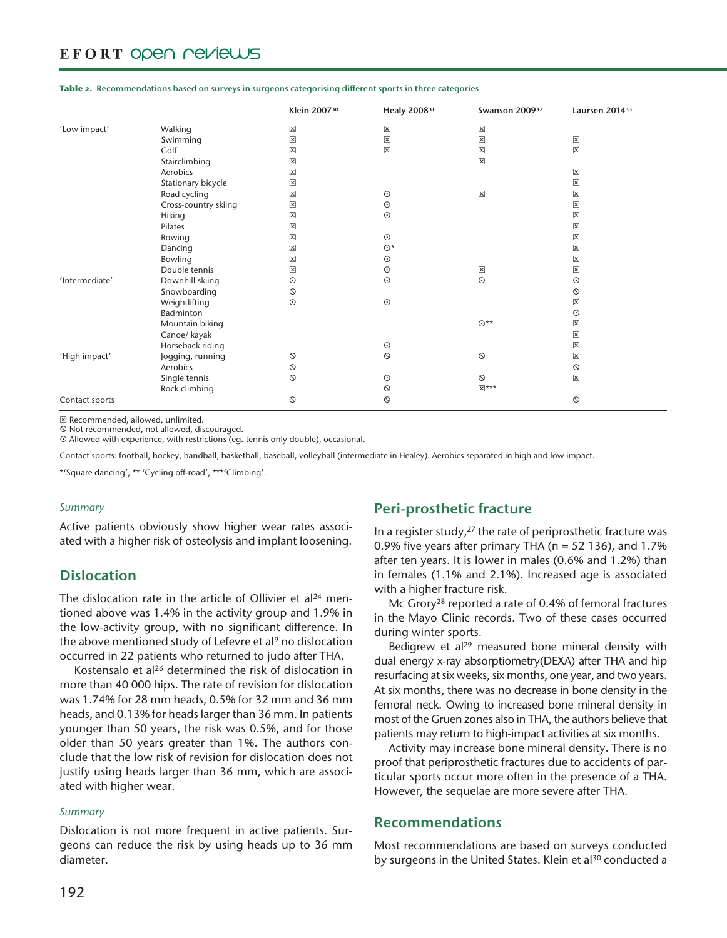# EFORT OPEN PEVIEWS

|                |                      | Klein 200730            | Healy 2008 <sup>31</sup> | Swanson 200932          | Laursen 201433          |
|----------------|----------------------|-------------------------|--------------------------|-------------------------|-------------------------|
| 'Low impact'   | Walking              | $\boxed{\mathsf{x}}$    | $\pmb{\times}$           | $\overline{\mathbf{x}}$ |                         |
|                | Swimming             | $\boxed{\mathsf{x}}$    | $\boxed{\mathsf{x}}$     | $\boxed{\mathsf{x}}$    | $\boxed{\mathsf{x}}$    |
|                | Golf                 | $\overline{\mathsf{x}}$ | $\pmb{\times}$           | $\boxed{\mathsf{x}}$    | $\mathbf{\overline{x}}$ |
|                | Stairclimbing        | $\boxed{\mathsf{x}}$    |                          | $\pmb{\times}$          |                         |
|                | Aerobics             | $\boxed{\mathsf{x}}$    |                          |                         | $\boxtimes$             |
|                | Stationary bicycle   | ×                       |                          |                         | $\boxed{\mathsf{x}}$    |
|                | Road cycling         | $\boxed{\mathsf{x}}$    | $\odot$                  | $\overline{\mathbf{x}}$ | $\boxed{\mathsf{x}}$    |
|                | Cross-country skiing | ×                       | $_{\odot}$               |                         | $\boxed{\mathsf{x}}$    |
|                | Hiking               | X                       | $_{\odot}$               |                         | $\boxed{\mathsf{x}}$    |
|                | Pilates              | X                       |                          |                         | $\boxed{\mathsf{x}}$    |
|                | Rowing               | ×                       | $\odot$                  |                         | $\mathbf{\overline{x}}$ |
|                | Dancing              | $\boxed{\mathsf{x}}$    | $\odot^*$                |                         | $\boxed{\mathsf{x}}$    |
|                | Bowling              | $\boxed{\mathsf{x}}$    | $_{\odot}$               |                         | $\boxed{\mathsf{x}}$    |
|                | Double tennis        | ×                       | $\odot$                  | ×                       | $\boxed{\mathsf{x}}$    |
| 'Intermediate' | Downhill skiing      | $\odot$                 | $_{\odot}$               | $\odot$                 | $_{\odot}$              |
|                | Snowboarding         | Ø                       |                          |                         | $\circledcirc$          |
|                | Weightlifting        | $\odot$                 | $_{\odot}$               |                         | $\boxed{\mathsf{x}}$    |
|                | Badminton            |                         |                          |                         | $_{\odot}$              |
|                | Mountain biking      |                         |                          | $\odot^{\star\star}$    | $\boxed{\mathsf{x}}$    |
|                | Canoe/ kayak         |                         |                          |                         | $\mathbf{\overline{x}}$ |
|                | Horseback riding     |                         | $_{\odot}$               |                         | $\boxed{\mathsf{x}}$    |
| 'High impact'  | Jogging, running     | $\circledcirc$          | $\circ$                  | $\circ$                 | $\pmb{\times}$          |
|                | Aerobics             | $\odot$                 |                          |                         | $\odot$                 |
|                | Single tennis        | $\circ$                 | $\odot$                  | $\circ$                 | $\pmb{\times}$          |
|                | Rock climbing        |                         | $\odot$                  | $x$ ***                 |                         |
| Contact sports |                      | $\circ$                 | $\circ$                  |                         | $\circ$                 |

#### **Table 2. Recommendations based on surveys in surgeons categorising different sports in three categories**

Recommended, allowed, unlimited.

Not recommended, not allowed, discouraged.

Allowed with experience, with restrictions (eg. tennis only double), occasional.

Contact sports: football, hockey, handball, basketball, baseball, volleyball (intermediate in Healey). Aerobics separated in high and low impact.

\*'Square dancing', \*\* 'Cycling off-road', \*\*\*'Climbing'.

#### *Summary*

Active patients obviously show higher wear rates associated with a higher risk of osteolysis and implant loosening.

### **Dislocation**

The dislocation rate in the article of Ollivier et al<sup>24</sup> mentioned above was 1.4% in the activity group and 1.9% in the low-activity group, with no significant difference. In the above mentioned study of Lefevre et al<sup>9</sup> no dislocation occurred in 22 patients who returned to judo after THA.

Kostensalo et al26 determined the risk of dislocation in more than 40 000 hips. The rate of revision for dislocation was 1.74% for 28 mm heads, 0.5% for 32 mm and 36 mm heads, and 0.13% for heads larger than 36 mm. In patients younger than 50 years, the risk was 0.5%, and for those older than 50 years greater than 1%. The authors conclude that the low risk of revision for dislocation does not justify using heads larger than 36 mm, which are associated with higher wear.

#### *Summary*

Dislocation is not more frequent in active patients. Surgeons can reduce the risk by using heads up to 36 mm diameter.

## **Peri-prosthetic fracture**

In a register study, $27$  the rate of periprosthetic fracture was 0.9% five years after primary THA ( $n = 52$  136), and 1.7% after ten years. It is lower in males (0.6% and 1.2%) than in females (1.1% and 2.1%). Increased age is associated with a higher fracture risk.

Mc Grory28 reported a rate of 0.4% of femoral fractures in the Mayo Clinic records. Two of these cases occurred during winter sports.

Bedigrew et  $al^{29}$  measured bone mineral density with dual energy x-ray absorptiometry(DEXA) after THA and hip resurfacing at six weeks, six months, one year, and two years. At six months, there was no decrease in bone density in the femoral neck. Owing to increased bone mineral density in most of the Gruen zones also in THA, the authors believe that patients may return to high-impact activities at six months.

Activity may increase bone mineral density. There is no proof that periprosthetic fractures due to accidents of particular sports occur more often in the presence of a THA. However, the sequelae are more severe after THA.

### **Recommendations**

Most recommendations are based on surveys conducted by surgeons in the United States. Klein et al<sup>30</sup> conducted a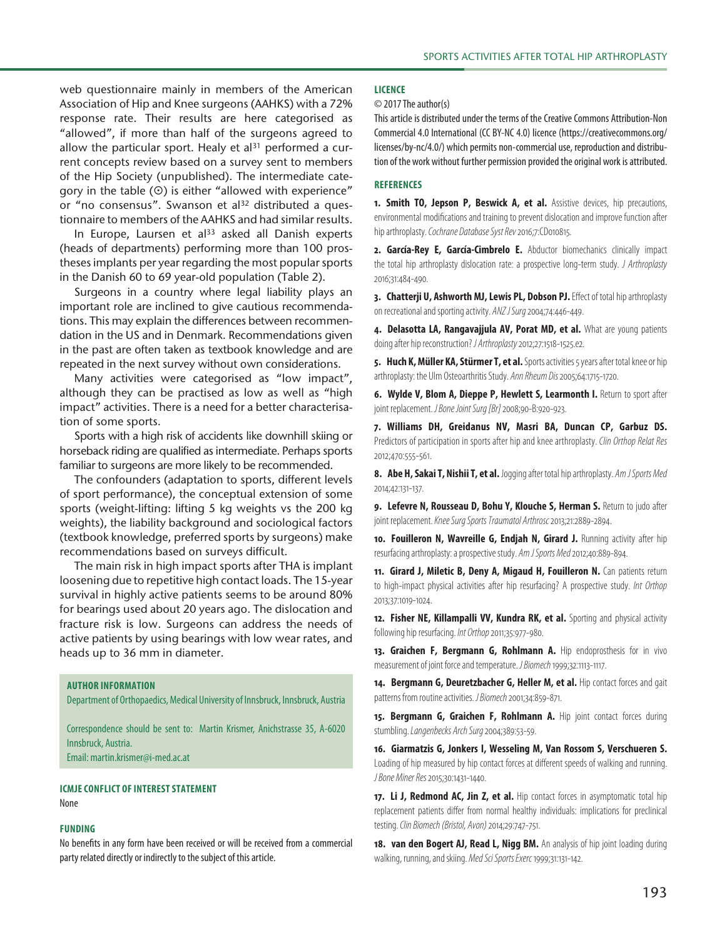web questionnaire mainly in members of the American Association of Hip and Knee surgeons (AAHKS) with a 72% response rate. Their results are here categorised as "allowed", if more than half of the surgeons agreed to allow the particular sport. Healy et  $al<sup>31</sup>$  performed a current concepts review based on a survey sent to members of the Hip Society (unpublished). The intermediate category in the table  $(\odot)$  is either "allowed with experience" or "no consensus". Swanson et al<sup>32</sup> distributed a questionnaire to members of the AAHKS and had similar results.

In Europe, Laursen et  $al^{33}$  asked all Danish experts (heads of departments) performing more than 100 prostheses implants per year regarding the most popular sports in the Danish 60 to 69 year-old population (Table 2).

Surgeons in a country where legal liability plays an important role are inclined to give cautious recommendations. This may explain the differences between recommendation in the US and in Denmark. Recommendations given in the past are often taken as textbook knowledge and are repeated in the next survey without own considerations.

Many activities were categorised as "low impact", although they can be practised as low as well as "high impact" activities. There is a need for a better characterisation of some sports.

Sports with a high risk of accidents like downhill skiing or horseback riding are qualified as intermediate. Perhaps sports familiar to surgeons are more likely to be recommended.

The confounders (adaptation to sports, different levels of sport performance), the conceptual extension of some sports (weight-lifting: lifting 5 kg weights vs the 200 kg weights), the liability background and sociological factors (textbook knowledge, preferred sports by surgeons) make recommendations based on surveys difficult.

The main risk in high impact sports after THA is implant loosening due to repetitive high contact loads. The 15-year survival in highly active patients seems to be around 80% for bearings used about 20 years ago. The dislocation and fracture risk is low. Surgeons can address the needs of active patients by using bearings with low wear rates, and heads up to 36 mm in diameter.

**Author Information**

Department of Orthopaedics, Medical University of Innsbruck, Innsbruck, Austria

Correspondence should be sent to: Martin Krismer, Anichstrasse 35, A-6020 Innsbruck, Austria.

Email: martin.krismer@i-med.ac.at

**ICMJE Conflict of interest statement**

#### None

#### **Funding**

No benefits in any form have been received or will be received from a commercial party related directly or indirectly to the subject of this article.

#### **Licence**

© 2017 The author(s)

This article is distributed under the terms of the Creative Commons Attribution-Non Commercial 4.0 International (CC BY-NC 4.0) licence (https://creativecommons.org/ licenses/by-nc/4.0/) which permits non-commercial use, reproduction and distribution of the work without further permission provided the original work is attributed.

#### **References**

**1. Smith TO, Jepson P, Beswick A, et al.** Assistive devices, hip precautions, environmental modifications and training to prevent dislocation and improve function after hip arthroplasty. *Cochrane Database Syst Rev* 2016;7:CD010815.

**2. García-Rey E, García-Cimbrelo E.** Abductor biomechanics clinically impact the total hip arthroplasty dislocation rate: a prospective long-term study. *J Arthroplasty* 2016;31:484-490.

**3. Chatterji U, Ashworth MJ, Lewis PL, Dobson PJ.** Effect of total hip arthroplasty on recreational and sporting activity. *ANZ J Surg* 2004;74:446-449.

**4. Delasotta LA, Rangavajjula AV, Porat MD, et al.** What are young patients doing after hip reconstruction? *J Arthroplasty* 2012;27:1518-1525.e2.

**5. Huch K, Müller KA, Stürmer T, et al.** Sports activities 5 years after total knee or hip arthroplasty: the Ulm Osteoarthritis Study. *Ann Rheum Dis* 2005;64:1715-1720.

**6. Wylde V, Blom A, Dieppe P, Hewlett S, Learmonth I.** Return to sport after joint replacement. *J Bone Joint Surg [Br]* 2008;90-B:920-923.

**7. Williams DH, Greidanus NV, Masri BA, Duncan CP, Garbuz DS.** Predictors of participation in sports after hip and knee arthroplasty. *Clin Orthop Relat Res* 2012;470:555-561.

**8. Abe H, Sakai T, Nishii T, et al.** Jogging after total hip arthroplasty. *Am J Sports Med* 2014;42:131-137.

**9. Lefevre N, Rousseau D, Bohu Y, Klouche S, Herman S.** Return to judo after joint replacement. *Knee Surg Sports Traumatol Arthrosc* 2013;21:2889-2894.

10. Fouilleron N, Wavreille G, Endjah N, Girard J. Running activity after hip resurfacing arthroplasty: a prospective study. *Am J Sports Med* 2012;40:889-894.

**11. Girard J, Miletic B, Deny A, Migaud H, Fouilleron N.** Can patients return to high-impact physical activities after hip resurfacing? A prospective study. *Int Orthop* 2013;37:1019-1024.

12. Fisher NE, Killampalli VV, Kundra RK, et al. Sporting and physical activity following hip resurfacing. *Int Orthop* 2011;35:977-980.

13. Graichen F, Bergmann G, Rohlmann A. Hip endoprosthesis for in vivo measurement of joint force and temperature. *J Biomech* 1999;32:1113-1117.

14. **Bergmann G, Deuretzbacher G, Heller M, et al.** Hip contact forces and gait patterns from routine activities. *J Biomech* 2001;34:859-871.

**15. Bergmann G, Graichen F, Rohlmann A.** Hip joint contact forces during stumbling. *Langenbecks Arch Surg* 2004;389:53-59.

**16. Giarmatzis G, Jonkers I, Wesseling M, Van Rossom S, Verschueren S.** Loading of hip measured by hip contact forces at different speeds of walking and running. *JBone Miner Res* 2015;30:1431-1440.

17. Li J, Redmond AC, Jin Z, et al. Hip contact forces in asymptomatic total hip replacement patients differ from normal healthy individuals: implications for preclinical testing. *Clin Biomech (Bristol, Avon)* 2014;29:747-751.

**18. van den Bogert AJ, Read L, Nigg BM.** An analysis of hip joint loading during walking, running, and skiing. *Med Sci Sports Exerc* 1999;31:131-142.